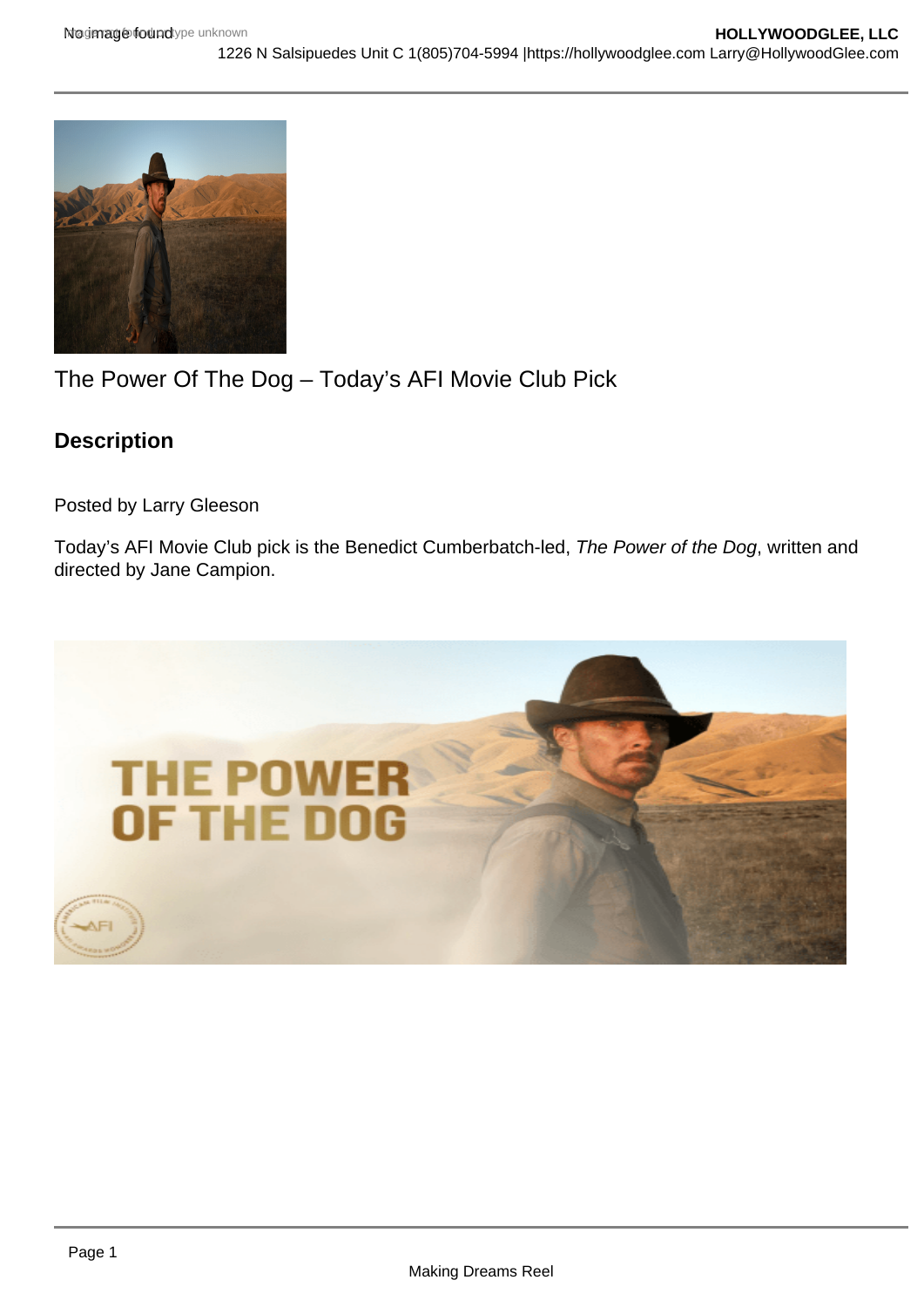## The Power Of The Dog – Today's AFI Movie Club Pick

Description

Posted by Larry Gleeson

Today's AFI Movie Club pick is the Benedict Cumberbatch-led, The Power of the Dog, written and directed by Jane Campion.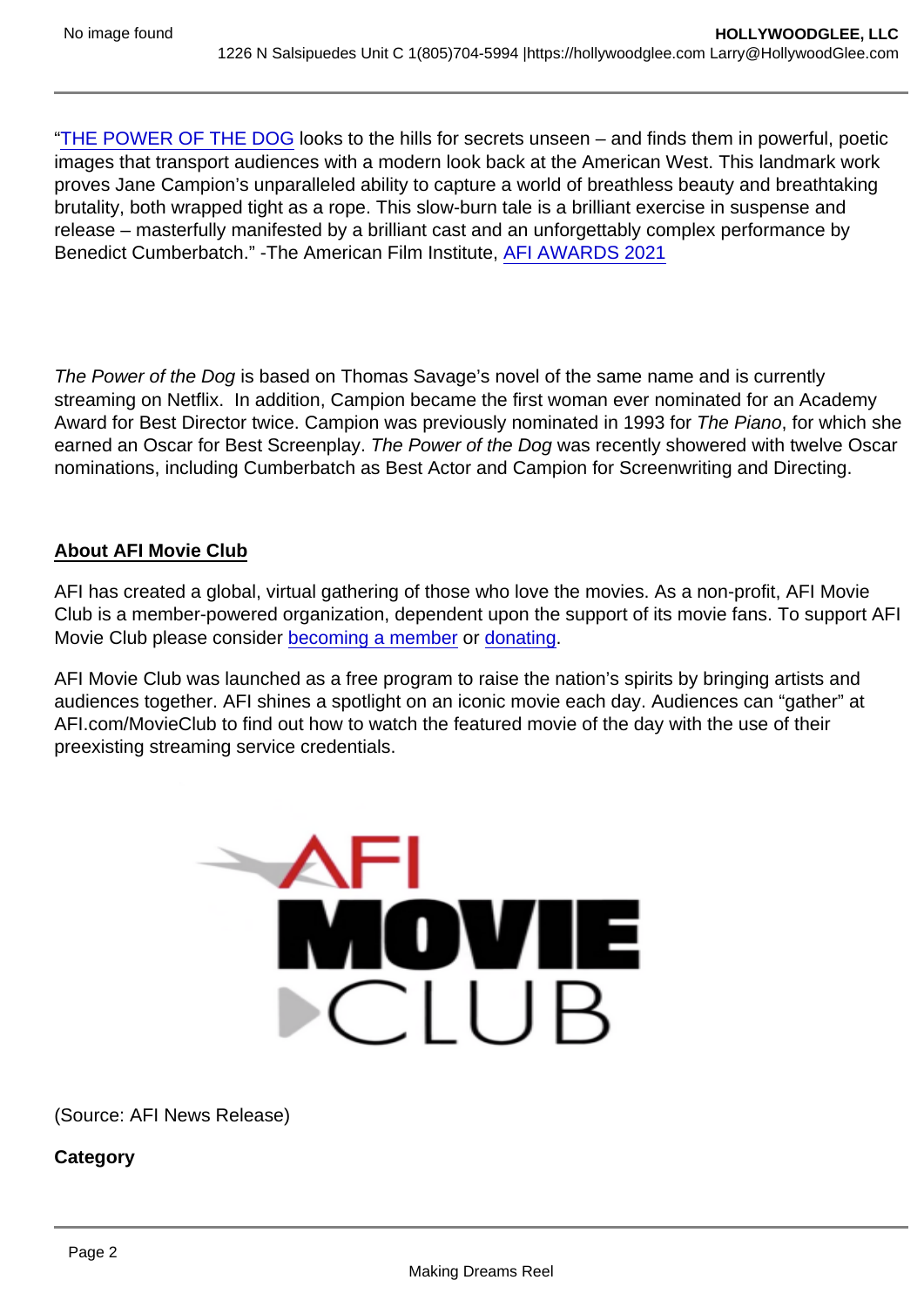"[THE POWER OF THE DOG](https://hollywoodglee.com/2021/11/18/film-capsule-the-power-of-the-dog/) looks to the hills for secrets unseen – and finds them in powerful, poetic images that transport audiences with a modern look back at the American West. This landmark work proves Jane Campion's unparalleled ability to capture a world of breathless beauty and breathtaking brutality, both wrapped tight as a rope. This slow-burn tale is a brilliant exercise in suspense and release – masterfully manifested by a brilliant cast and an unforgettably complex performance by Benedict Cumberbatch." -The American Film Institute, [AFI AWARDS 2021](https://www.afi.com/award/afi-awards-2021/)

The Power of the Dog is based on Thomas Savage's novel of the same name and is currently streaming on Netflix. In addition, Campion became the first woman ever nominated for an Academy Award for Best Director twice. Campion was previously nominated in 1993 for The Piano, for which she earned an Oscar for Best Screenplay. The Power of the Dog was recently showered with twelve Oscar nominations, including Cumberbatch as Best Actor and Campion for Screenwriting and Directing.

## About AFI Movie Club

AFI has created a global, virtual gathering of those who love the movies. As a non-profit, AFI Movie Club is a member-powered organization, dependent upon the support of its movie fans. To support AFI Movie Club please consider [becoming a member](https://www.afi.com/support/?Op=join) or [donating](https://www.afi.com/support/?Op=donate).

AFI Movie Club was launched as a free program to raise the nation's spirits by bringing artists and audiences together. AFI shines a spotlight on an iconic movie each day. Audiences can "gather" at AFI.com/MovieClub to find out how to watch the featured movie of the day with the use of their preexisting streaming service credentials.

(Source: AFI News Release)

**Category**